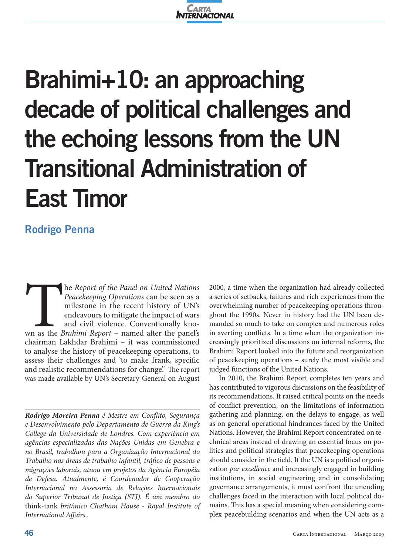

# **Brahimi+10: an approaching decade of political challenges and the echoing lessons from the UN Transitional Administration of East Timor**

# **Rodrigo Penna**

The *Report of the Panel on United Nations*<br> *Peacekeeping Operations* can be seen as a<br>
milestone in the recent history of UN's<br>
endeavours to mitigate the impact of wars<br>
and civil violence. Conventionally kno-<br>
was comm *Peacekeeping Operations* can be seen as a milestone in the recent history of UN's endeavours to mitigate the impact of wars and civil violence. Conventionally known as the *Brahimi Report* – named after the panel's chairman Lakhdar Brahimi – it was commissioned to analyse the history of peacekeeping operations, to assess their challenges and 'to make frank, specific and realistic recommendations for change?<sup>1</sup> The report was made available by UN's Secretary-General on August

*Rodrigo Moreira Penna é Mestre em Conflito, Segurança e Desenvolvimento pelo Departamento de Guerra da King's College da Universidade de Londres. Com experiência em agências especializadas das Nações Unidas em Genebra e no Brasil, trabalhou para a Organização Internacional do Trabalho nas áreas de trabalho infantil, tráfico de pessoas e migrações laborais, atuou em projetos da Agência Européia de Defesa. Atualmente, é Coordenador de Cooperação Internacional na Assessoria de Relações Internacionais do Superior Tribunal de Justiça (STJ). É um membro do*  think-tank *britânico Chatham House - Royal Institute of International Affairs..*

2000, a time when the organization had already collected a series of setbacks, failures and rich experiences from the overwhelming number of peacekeeping operations throughout the 1990s. Never in history had the UN been demanded so much to take on complex and numerous roles in averting conflicts. In a time when the organization increasingly prioritized discussions on internal reforms, the Brahimi Report looked into the future and reorganization of peacekeeping operations – surely the most visible and judged functions of the United Nations.

In 2010, the Brahimi Report completes ten years and has contributed to vigorous discussions on the feasibility of its recommendations. It raised critical points on the needs of conflict prevention, on the limitations of information gathering and planning, on the delays to engage, as well as on general operational hindrances faced by the United Nations. However, the Brahimi Report concentrated on technical areas instead of drawing an essential focus on politics and political strategies that peacekeeping operations should consider in the field. If the UN is a political organization *par excellence* and increasingly engaged in building institutions, in social engineering and in consolidating governance arrangements, it must confront the unending challenges faced in the interaction with local political domains. This has a special meaning when considering complex peacebuilding scenarios and when the UN acts as a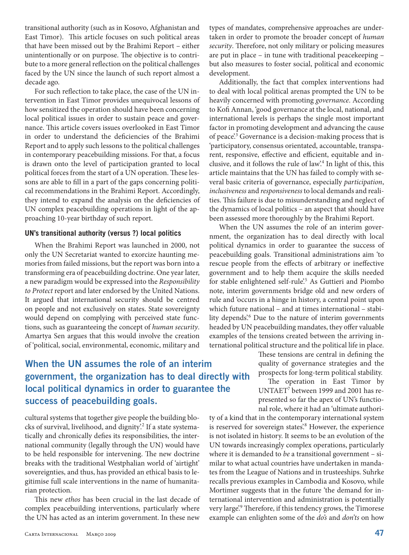transitional authority (such as in Kosovo, Afghanistan and East Timor). This article focuses on such political areas that have been missed out by the Brahimi Report – either unintentionally or on purpose. The objective is to contribute to a more general reflection on the political challenges faced by the UN since the launch of such report almost a decade ago.

For such reflection to take place, the case of the UN intervention in East Timor provides unequivocal lessons of how sensitized the operation should have been concerning local political issues in order to sustain peace and governance. This article covers issues overlooked in East Timor in order to understand the deficiencies of the Brahimi Report and to apply such lessons to the political challenges in contemporary peacebuilding missions. For that, a focus is drawn onto the level of participation granted to local political forces from the start of a UN operation. These lessons are able to fill in a part of the gaps concerning political recommendations in the Brahimi Report. Accordingly, they intend to expand the analysis on the deficiencies of UN complex peacebuilding operations in light of the approaching 10-year birthday of such report.

#### **UN's transitional authority (versus ?) local politics**

When the Brahimi Report was launched in 2000, not only the UN Secretariat wanted to exorcize haunting memories from failed missions, but the report was born into a transforming era of peacebuilding doctrine. One year later, a new paradigm would be expressed into the *Responsibility to Protect* report and later endorsed by the United Nations. It argued that international security should be centred on people and not exclusively on states. State sovereignty would depend on complying with perceived state functions, such as guaranteeing the concept of *human security*. Amartya Sen argues that this would involve the creation of 'political, social, environmental, economic, military and

## **When the UN assumes the role of an interim government, the organization has to deal directly with local political dynamics in order to guarantee the success of peacebuilding goals.**

cultural systems that together give people the building blocks of survival, livelihood, and dignity<sup>2</sup> If a state systematically and chronically defies its responsibilities, the international community (legally through the UN) would have to be held responsible for intervening. The new doctrine breaks with the traditional Westphalian world of 'airtight' sovereignties, and thus, has provided an ethical basis to legitimise full scale interventions in the name of humanitarian protection.

This new *ethos* has been crucial in the last decade of complex peacebuilding interventions, particularly where the UN has acted as an interim government. In these new

types of mandates, comprehensive approaches are undertaken in order to promote the broader concept of *human security*. Therefore, not only military or policing measures are put in place – in tune with traditional peacekeeping – but also measures to foster social, political and economic development.

Additionally, the fact that complex interventions had to deal with local political arenas prompted the UN to be heavily concerned with promoting *governance*. According to Kofi Annan, 'good governance at the local, national, and international levels is perhaps the single most important factor in promoting development and advancing the cause of peace.<sup>3</sup> Governance is a decision-making process that is 'participatory, consensus orientated, accountable, transparent, responsive, effective and efficient, equitable and inclusive, and it follows the rule of law'.4 In light of this, this article maintains that the UN has failed to comply with several basic criteria of governance, especially *participation*, *inclusiveness* and *responsiveness* to local demands and realities. This failure is due to misunderstanding and neglect of the dynamics of local politics – an aspect that should have been assessed more thoroughly by the Brahimi Report.

When the UN assumes the role of an interim government, the organization has to deal directly with local political dynamics in order to guarantee the success of peacebuilding goals. Transitional administrations aim 'to rescue people from the effects of arbitrary or ineffective government and to help them acquire the skills needed for stable enlightened self-rule<sup>25</sup> As Guttieri and Piombo note, interim governments bridge old and new orders of rule and 'occurs in a hinge in history, a central point upon which future national – and at times international – stability depends.<sup>6</sup> Due to the nature of interim governments headed by UN peacebuilding mandates, they offer valuable examples of the tensions created between the arriving international political structure and the political life in place.

> These tensions are central in defining the quality of governance strategies and the prospects for long-term political stability.

> The operation in East Timor by UNTAET7 between 1999 and 2001 has represented so far the apex of UN's functional role, where it had an 'ultimate authori-

ty of a kind that in the contemporary international system is reserved for sovereign states.<sup>8</sup> However, the experience is not isolated in history. It seems to be an evolution of the UN towards increasingly complex operations, particularly where it is demanded to *be* a transitional government – similar to what actual countries have undertaken in mandates from the League of Nations and in trusteeships. Suhrke recalls previous examples in Cambodia and Kosovo, while Mortimer suggests that in the future 'the demand for international intervention and administration is potentially very large'.<sup>9</sup> Therefore, if this tendency grows, the Timorese example can enlighten some of the *do's* and *don'ts* on how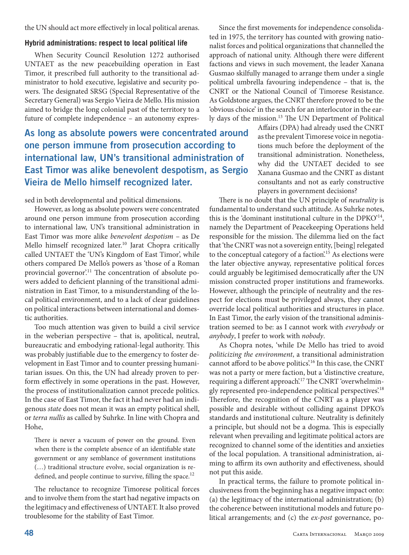the UN should act more effectively in local political arenas.

#### **Hybrid administrations: respect to local political life**

When Security Council Resolution 1272 authorised UNTAET as the new peacebuilding operation in East Timor, it prescribed full authority to the transitional administrator to hold executive, legislative and security powers. The designated SRSG (Special Representative of the Secretary General) was Sergio Vieira de Mello. His mission aimed to bridge the long colonial past of the territory to a future of complete independence – an autonomy expres-

**As long as absolute powers were concentrated around one person immune from prosecution according to international law, UN's transitional administration of East Timor was alike benevolent despotism, as Sergio Vieira de Mello himself recognized later.**

sed in both developmental and political dimensions.

However, as long as absolute powers were concentrated around one person immune from prosecution according to international law, UN's transitional administration in East Timor was more alike *benevolent despotism* – as De Mello himself recognized later.<sup>10</sup> Jarat Chopra critically called UNTAET the 'UN's Kingdom of East Timor', while others compared De Mello's powers as 'those of a Roman provincial governor'.<sup>11</sup> The concentration of absolute powers added to deficient planning of the transitional administration in East Timor, to a misunderstanding of the local political environment, and to a lack of clear guidelines on political interactions between international and domestic authorities.

Too much attention was given to build a civil service in the weberian perspective – that is, apolitical, neutral, bureaucratic and embodying rational-legal authority. This was probably justifiable due to the emergency to foster development in East Timor and to counter pressing humanitarian issues. On this, the UN had already proven to perform effectively in some operations in the past. However, the process of institutionalization cannot precede politics. In the case of East Timor, the fact it had never had an indigenous *state* does not mean it was an empty political shell, or *terra nullis* as called by Suhrke. In line with Chopra and Hohe,

There is never a vacuum of power on the ground. Even when there is the complete absence of an identifiable state government or any semblance of government institutions (…) traditional structure evolve, social organization is redefined, and people continue to survive, filling the space.<sup>12</sup>

The reluctance to recognize Timorese political forces and to involve them from the start had negative impacts on the legitimacy and effectiveness of UNTAET. It also proved troublesome for the stability of East Timor.

Since the first movements for independence consolidated in 1975, the territory has counted with growing nationalist forces and political organizations that channelled the approach of national unity. Although there were different factions and views in such movement, the leader Xanana Gusmao skilfully managed to arrange them under a single political umbrella favouring independence – that is, the CNRT or the National Council of Timorese Resistance. As Goldstone argues, the CNRT therefore proved to be the 'obvious choice' in the search for an interlocutor in the early days of the mission.13 The UN Department of Political

Affairs (DPA) had already used the CNRT as the prevalent Timorese voice in negotiations much before the deployment of the transitional administration. Nonetheless, why did the UNTAET decided to see Xanana Gusmao and the CNRT as distant consultants and not as early constructive players in government decisions?

There is no doubt that the UN principle of *neutrality* is fundamental to understand such attitude. As Suhrke notes, this is the 'dominant institutional culture in the DPKO'14, namely the Department of Peacekeeping Operations held responsible for the mission. The dilemma lied on the fact that 'the CNRT was not a sovereign entity, [being] relegated to the conceptual category of a faction.<sup>15</sup> As elections were the later objective anyway, representative political forces could arguably be legitimised democratically after the UN mission constructed proper institutions and frameworks. However, although the principle of neutrality and the respect for elections must be privileged always, they cannot override local political authorities and structures in place. In East Timor, the early vision of the transitional administration seemed to be: as I cannot work with *everybody* or *anybody*, I prefer to work with *nobody*.

As Chopra notes, 'while De Mello has tried to avoid *politicizing the environment*, a transitional administration cannot afford to be above politics.<sup>16</sup> In this case, the CNRT was not a party or mere faction, but a 'distinctive creature, requiring a different approach'.<sup>17</sup> The CNRT 'overwhelmingly represented pro-independence political perspectives.<sup>18</sup> Therefore, the recognition of the CNRT as a player was possible and desirable without colliding against DPKO's standards and institutional culture. Neutrality is definitely a principle, but should not be a dogma. This is especially relevant when prevailing and legitimate political actors are recognized to channel some of the identities and anxieties of the local population. A transitional administration, aiming to affirm its own authority and effectiveness, should not put this aside.

In practical terms, the failure to promote political inclusiveness from the beginning has a negative impact onto: (a) the legitimacy of the international administration; (b) the coherence between institutional models and future political arrangements; and (c) the *ex-post* governance, po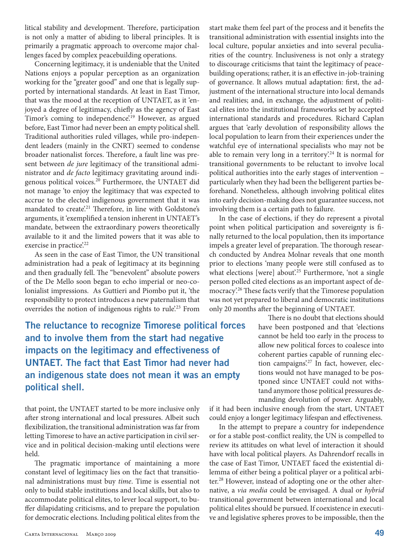litical stability and development. Therefore, participation is not only a matter of abiding to liberal principles. It is primarily a pragmatic approach to overcome major challenges faced by complex peacebuilding operations.

Concerning legitimacy, it is undeniable that the United Nations enjoys a popular perception as an organization working for the "greater good" and one that is legally supported by international standards. At least in East Timor, that was the mood at the reception of UNTAET, as it 'enjoyed a degree of legitimacy, chiefly as the agency of East Timor's coming to independence.<sup>19</sup> However, as argued before, East Timor had never been an empty political shell. Traditional authorities ruled villages, while pro-independent leaders (mainly in the CNRT) seemed to condense broader nationalist forces. Therefore, a fault line was present between *de jure* legitimacy of the transitional administrator and *de facto* legitimacy gravitating around indigenous political voices.20 Furthermore, the UNTAET did not manage 'to enjoy the legitimacy that was expected to accrue to the elected indigenous government that it was mandated to create.<sup>21</sup> Therefore, in line with Goldstone's arguments, it 'exemplified a tension inherent in UNTAET's mandate, between the extraordinary powers theoretically available to it and the limited powers that it was able to exercise in practice.<sup>22</sup>

As seen in the case of East Timor, the UN transitional administration had a peak of legitimacy at its beginning and then gradually fell. The "benevolent" absolute powers of the De Mello soon began to echo imperial or neo-colonialist impressions. As Guttieri and Piombo put it, 'the responsibility to protect introduces a new paternalism that overrides the notion of indigenous rights to rule.<sup>23</sup> From

**The reluctance to recognize Timorese political forces and to involve them from the start had negative impacts on the legitimacy and effectiveness of UNTAET. The fact that East Timor had never had an indigenous state does not mean it was an empty political shell.**

that point, the UNTAET started to be more inclusive only after strong international and local pressures. Albeit such flexibilization, the transitional administration was far from letting Timorese to have an active participation in civil service and in political decision-making until elections were held.

The pragmatic importance of maintaining a more constant level of legitimacy lies on the fact that transitional administrations must buy *time*. Time is essential not only to build stable institutions and local skills, but also to accommodate political elites, to lever local support, to buffer dilapidating criticisms, and to prepare the population for democratic elections. Including political elites from the

transitional administration with essential insights into the local culture, popular anxieties and into several peculiarities of the country. Inclusiveness is not only a strategy to discourage criticisms that taint the legitimacy of peacebuilding operations; rather, it is an effective in-job-training of governance. It allows mutual adaptation: first, the adjustment of the international structure into local demands and realities; and, in exchange, the adjustment of political elites into the institutional frameworks set by accepted international standards and procedures. Richard Caplan argues that 'early devolution of responsibility allows the local population to learn from their experiences under the watchful eye of international specialists who may not be able to remain very long in a territory.<sup>24</sup> It is normal for transitional governments to be reluctant to involve local political authorities into the early stages of intervention – particularly when they had been the belligerent parties beforehand. Nonetheless, although involving political elites into early decision-making does not guarantee success, not involving them is a certain path to failure.

start make them feel part of the process and it benefits the

In the case of elections, if they do represent a pivotal point when political participation and sovereignty is finally returned to the local population, then its importance impels a greater level of preparation. The thorough research conducted by Andrea Molnar reveals that one month prior to elections 'many people were still confused as to what elections [were] about.<sup>25</sup> Furthermore, 'not a single person polled cited elections as an important aspect of democracy'.26 These facts verify that the Timorese population was not yet prepared to liberal and democratic institutions only 20 months after the beginning of UNTAET.

> There is no doubt that elections should have been postponed and that 'elections cannot be held too early in the process to allow new political forces to coalesce into coherent parties capable of running election campaigns'.<sup>27</sup> In fact, however, elections would not have managed to be postponed since UNTAET could not withstand anymore those political pressures demanding devolution of power. Arguably,

if it had been inclusive enough from the start, UNTAET could enjoy a longer legitimacy lifespan and effectiveness.

In the attempt to prepare a country for independence or for a stable post-conflict reality, the UN is compelled to review its attitudes on what level of interaction it should have with local political players. As Dahrendorf recalls in the case of East Timor, UNTAET faced the existential dilemma of either being a political player or a political arbiter.<sup>28</sup> However, instead of adopting one or the other alternative, a *via media* could be envisaged. A dual or *hybrid* transitional government between international and local political elites should be pursued. If coexistence in executive and legislative spheres proves to be impossible, then the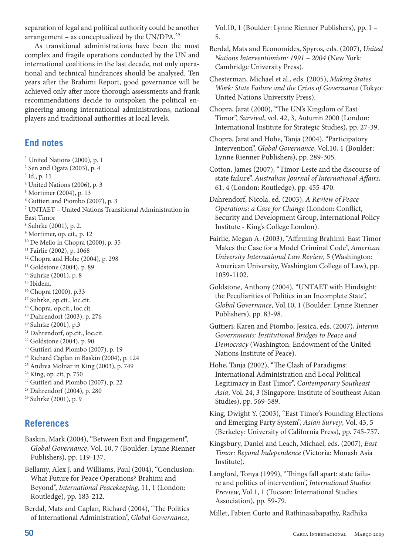separation of legal and political authority could be another arrangement – as conceptualized by the UN/DPA. $^{29}$ 

As transitional administrations have been the most complex and fragile operations conducted by the UN and international coalitions in the last decade, not only operational and technical hindrances should be analysed. Ten years after the Brahimi Report, good governance will be achieved only after more thorough assessments and frank recommendations decide to outspoken the political engineering among international administrations, national players and traditional authorities at local levels.

### **End notes**

 $<sup>1</sup>$  United Nations (2000), p. 1</sup> Sen and Ogata (2003), p. 4 Id., p. 11 United Nations (2006), p. 3 Mortimer (2004), p. 13 Guttieri and Piombo (2007), p. 3 UNTAET – United Nations Transitional Administration in East Timor Suhrke (2001), p. 2. Mortimer, op. cit., p. 12 10 De Mello in Chopra (2000), p. 35 Fairlie (2002), p. 1068 <sup>12</sup> Chopra and Hohe (2004), p. 298 Goldstone (2004), p. 89 Suhrke (2001), p. 8 <sup>15</sup> Ibidem. 16 Chopra (2000), p.33 <sup>17</sup> Suhrke, op.cit., loc.cit. <sup>18</sup> Chopra, op.cit., loc.cit. Dahrendorf (2003), p. 276 Suhrke (2001), p.3 Dahrendorf, op.cit., loc.cit. Goldstone (2004), p. 90 23 Guttieri and Piombo (2007), p. 19 24 Richard Caplan in Baskin (2004), p. 124 Andrea Molnar in King (2003), p. 749 King, op. cit, p. 750 Guttieri and Piombo (2007), p. 22 Dahrendorf (2004), p. 280 Suhrke (2001), p. 9

## **References**

- Baskin, Mark (2004), "Between Exit and Engagement", *Global Governance*, Vol. 10, 7 (Boulder: Lynne Rienner Publishers), pp. 119-137.
- Bellamy, Alex J. and Williams, Paul (2004), "Conclusion: What Future for Peace Operations? Brahimi and Beyond", *International Peacekeeping,* 11, 1 (London: Routledge), pp. 183-212.
- Berdal, Mats and Caplan, Richard (2004), "The Politics of International Administration", *Global Governance*,

Vol.10, 1 (Boulder: Lynne Rienner Publishers), pp. 1 – 5.

- Berdal, Mats and Economides, Spyros, eds. (2007), *United Nations Interventionism: 1991 – 2004* (New York: Cambridge University Press).
- Chesterman, Michael et al., eds. (2005), *Making States Work: State Failure and the Crisis of Governance* (Tokyo: United Nations University Press).

Chopra, Jarat (2000), "The UN's Kingdom of East Timor", *Survival*, vol. 42, 3, Autumn 2000 (London: International Institute for Strategic Studies), pp. 27-39.

- Chopra, Jarat and Hohe, Tanja (2004), "Participatory Intervention", *Global Governance*, Vol.10, 1 (Boulder: Lynne Rienner Publishers), pp. 289-305.
- Cotton, James (2007), "Timor-Leste and the discourse of state failure", *Australian Journal of International Affairs*, 61, 4 (London: Routledge), pp. 455-470.
- Dahrendorf, Nicola, ed. (2003), *A Review of Peace Operations: a Case for Change* (London: Conflict, Security and Development Group, International Policy Institute - King's College London).
- Fairlie, Megan A. (2003), "Affirming Brahimi: East Timor Makes the Case for a Model Criminal Code", *American University International Law Review*, 5 (Washington: American University, Washington College of Law), pp. 1059-1102.
- Goldstone, Anthony (2004), "UNTAET with Hindsight: the Peculiarities of Politics in an Incomplete State", *Global Governance*, Vol.10, 1 (Boulder: Lynne Rienner Publishers), pp. 83-98.
- Guttieri, Karen and Piombo, Jessica, eds. (2007), *Interim Governments: Institutional Bridges to Peace and Democracy* (Washington: Endowment of the United Nations Institute of Peace).
- Hohe, Tanja (2002), "The Clash of Paradigms: International Administration and Local Political Legitimacy in East Timor", *Contemporary Southeast Asia*, Vol. 24, 3 (Singapore: Institute of Southeast Asian Studies), pp. 569-589.

King, Dwight Y. (2003), "East Timor's Founding Elections and Emerging Party System", *Asian Survey*, Vol. 43, 5 (Berkeley: University of California Press), pp. 745-757.

Kingsbury, Daniel and Leach, Michael, eds. (2007), *East Timor: Beyond Independence* (Victoria: Monash Asia Institute).

Langford, Tonya (1999), "Things fall apart: state failure and politics of intervention", *International Studies Preview*, Vol.1, 1 (Tucson: International Studies Association), pp. 59-79.

Millet, Fabien Curto and Rathinasabapathy, Radhika